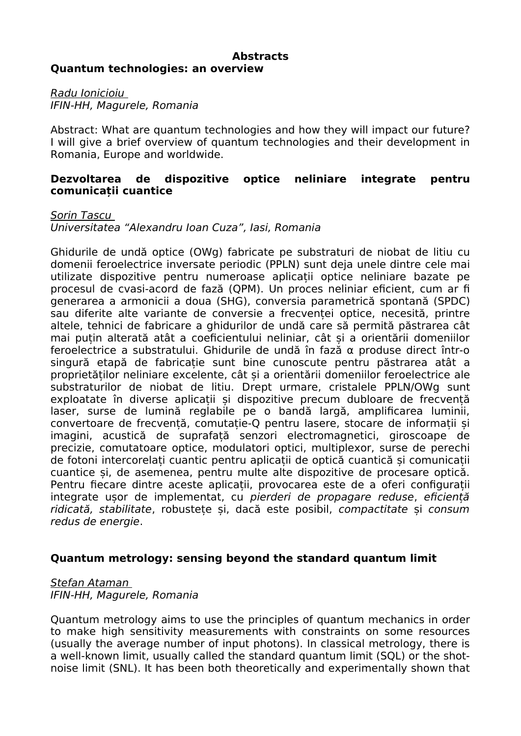#### **Abstracts Quantum technologies: an overview**

Radu Ionicioiu IFIN-HH, Magurele, Romania

Abstract: What are quantum technologies and how they will impact our future? I will give a brief overview of quantum technologies and their development in Romania, Europe and worldwide.

#### **Dezvoltarea de dispozitive optice neliniare integrate pentru comunicații cuantice**

#### Sorin Tascu

Universitatea "Alexandru Ioan Cuza", Iasi, Romania

Ghidurile de undă optice (OWg) fabricate pe substraturi de niobat de litiu cu domenii feroelectrice inversate periodic (PPLN) sunt deja unele dintre cele mai utilizate dispozitive pentru numeroase aplicații optice neliniare bazate pe procesul de cvasi-acord de fază (QPM). Un proces neliniar eficient, cum ar fi generarea a armonicii a doua (SHG), conversia parametrică spontană (SPDC) sau diferite alte variante de conversie a frecvenței optice, necesită, printre altele, tehnici de fabricare a ghidurilor de undă care să permită păstrarea cât mai puțin alterată atât a coeficientului neliniar, cât și a orientării domeniilor feroelectrice a substratului. Ghidurile de undă în fază α produse direct într-o singură etapă de fabricație sunt bine cunoscute pentru păstrarea atât a proprietăților neliniare excelente, cât și a orientării domeniilor feroelectrice ale substraturilor de niobat de litiu. Drept urmare, cristalele PPLN/OWg sunt exploatate în diverse aplicații și dispozitive precum dubloare de frecvență laser, surse de lumină reglabile pe o bandă largă, amplificarea luminii, convertoare de frecvență, comutație-Q pentru lasere, stocare de informații și imagini, acustică de suprafață senzori electromagnetici, giroscoape de precizie, comutatoare optice, modulatori optici, multiplexor, surse de perechi de fotoni intercorelați cuantic pentru aplicații de optică cuantică și comunicații cuantice și, de asemenea, pentru multe alte dispozitive de procesare optică. Pentru fiecare dintre aceste aplicații, provocarea este de a oferi configurații integrate usor de implementat, cu pierderi de propagare reduse, eficientă ridicată, stabilitate, robustețe și, dacă este posibil, compactitate și consum redus de energie.

# **Quantum metrology: sensing beyond the standard quantum limit**

# Stefan Ataman

IFIN-HH, Magurele, Romania

Quantum metrology aims to use the principles of quantum mechanics in order to make high sensitivity measurements with constraints on some resources (usually the average number of input photons). In classical metrology, there is a well-known limit, usually called the standard quantum limit (SQL) or the shotnoise limit (SNL). It has been both theoretically and experimentally shown that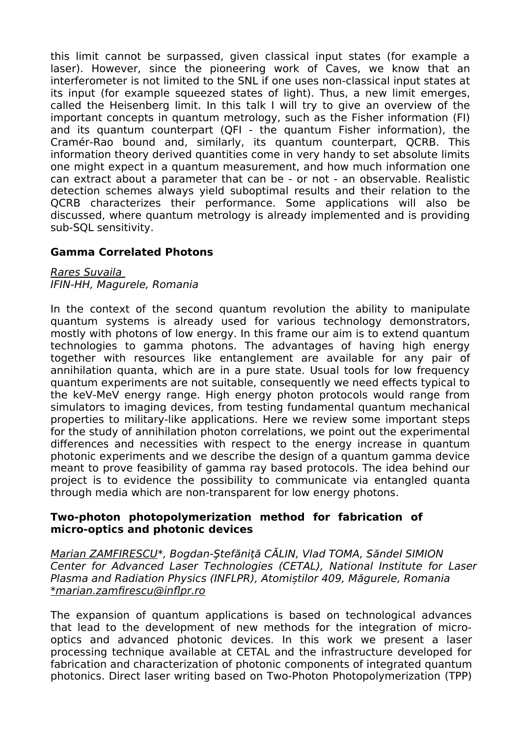this limit cannot be surpassed, given classical input states (for example a laser). However, since the pioneering work of Caves, we know that an interferometer is not limited to the SNL if one uses non-classical input states at its input (for example squeezed states of light). Thus, a new limit emerges, called the Heisenberg limit. In this talk I will try to give an overview of the important concepts in quantum metrology, such as the Fisher information (FI) and its quantum counterpart (QFI - the quantum Fisher information), the Cramér-Rao bound and, similarly, its quantum counterpart, QCRB. This information theory derived quantities come in very handy to set absolute limits one might expect in a quantum measurement, and how much information one can extract about a parameter that can be - or not - an observable. Realistic detection schemes always yield suboptimal results and their relation to the QCRB characterizes their performance. Some applications will also be discussed, where quantum metrology is already implemented and is providing sub-SQL sensitivity.

# **Gamma Correlated Photons**

Rares Suvaila IFIN-HH, Magurele, Romania

In the context of the second quantum revolution the ability to manipulate quantum systems is already used for various technology demonstrators, mostly with photons of low energy. In this frame our aim is to extend quantum technologies to gamma photons. The advantages of having high energy together with resources like entanglement are available for any pair of annihilation quanta, which are in a pure state. Usual tools for low frequency quantum experiments are not suitable, consequently we need effects typical to the keV-MeV energy range. High energy photon protocols would range from simulators to imaging devices, from testing fundamental quantum mechanical properties to military-like applications. Here we review some important steps for the study of annihilation photon correlations, we point out the experimental differences and necessities with respect to the energy increase in quantum photonic experiments and we describe the design of a quantum gamma device meant to prove feasibility of gamma ray based protocols. The idea behind our project is to evidence the possibility to communicate via entangled quanta through media which are non-transparent for low energy photons.

# **Two-photon photopolymerization method for fabrication of micro-optics and photonic devices**

Marian ZAMFIRESCU\*, Bogdan-Ştefăniţă CĂLIN, Vlad TOMA, Săndel SIMION Center for Advanced Laser Technologies (CETAL), National Institute for Laser Plasma and Radiation Physics (INFLPR), Atomiștilor 409, Măgurele, Romania  [\\* marian.zamfirescu@inflpr.ro](mailto:*marian.zamfirescu@inflpr.ro)

The expansion of quantum applications is based on technological advances that lead to the development of new methods for the integration of microoptics and advanced photonic devices. In this work we present a laser processing technique available at CETAL and the infrastructure developed for fabrication and characterization of photonic components of integrated quantum photonics. Direct laser writing based on Two-Photon Photopolymerization (TPP)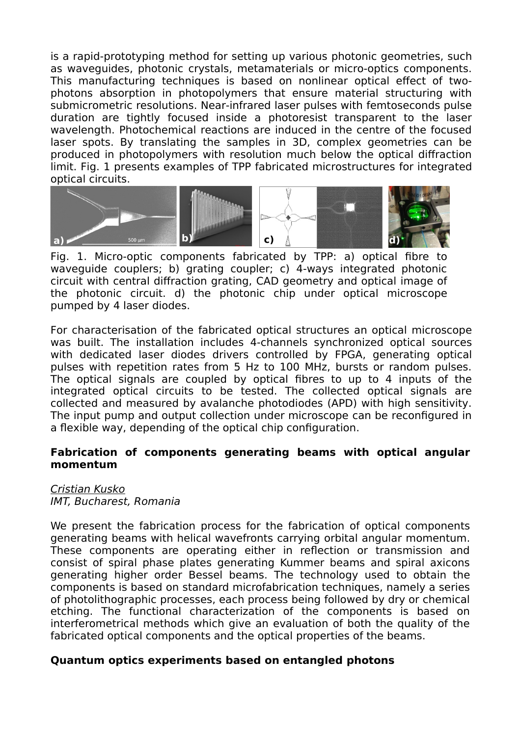is a rapid-prototyping method for setting up various photonic geometries, such as waveguides, photonic crystals, metamaterials or micro-optics components. This manufacturing techniques is based on nonlinear optical effect of twophotons absorption in photopolymers that ensure material structuring with submicrometric resolutions. Near-infrared laser pulses with femtoseconds pulse duration are tightly focused inside a photoresist transparent to the laser wavelength. Photochemical reactions are induced in the centre of the focused laser spots. By translating the samples in 3D, complex geometries can be produced in photopolymers with resolution much below the optical diffraction limit. Fig. 1 presents examples of TPP fabricated microstructures for integrated optical circuits.



Fig. 1. Micro-optic components fabricated by TPP: a) optical fibre to waveguide couplers; b) grating coupler; c) 4-ways integrated photonic circuit with central diffraction grating, CAD geometry and optical image of the photonic circuit. d) the photonic chip under optical microscope pumped by 4 laser diodes.

For characterisation of the fabricated optical structures an optical microscope was built. The installation includes 4-channels synchronized optical sources with dedicated laser diodes drivers controlled by FPGA, generating optical pulses with repetition rates from 5 Hz to 100 MHz, bursts or random pulses. The optical signals are coupled by optical fibres to up to 4 inputs of the integrated optical circuits to be tested. The collected optical signals are collected and measured by avalanche photodiodes (APD) with high sensitivity. The input pump and output collection under microscope can be reconfigured in a flexible way, depending of the optical chip configuration.

# **Fabrication of components generating beams with optical angular momentum**

#### Cristian Kusko IMT, Bucharest, Romania

We present the fabrication process for the fabrication of optical components generating beams with helical wavefronts carrying orbital angular momentum. These components are operating either in reflection or transmission and consist of spiral phase plates generating Kummer beams and spiral axicons generating higher order Bessel beams. The technology used to obtain the components is based on standard microfabrication techniques, namely a series of photolithographic processes, each process being followed by dry or chemical etching. The functional characterization of the components is based on interferometrical methods which give an evaluation of both the quality of the fabricated optical components and the optical properties of the beams.

# **Quantum optics experiments based on entangled photons**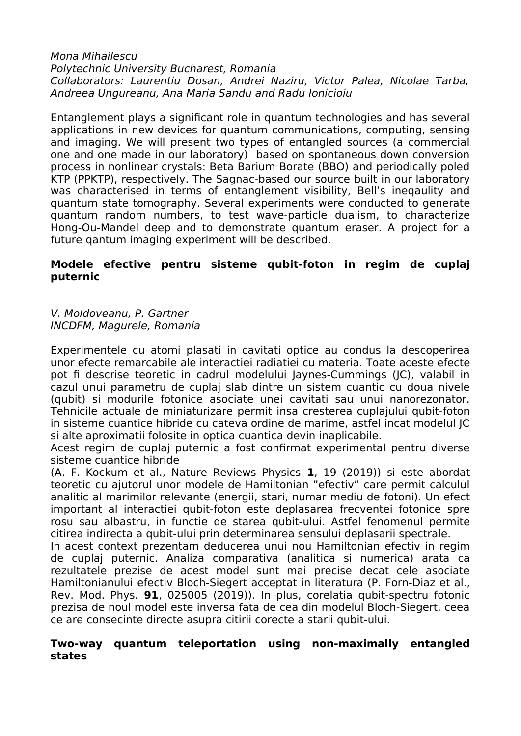#### Mona Mihailescu Polytechnic University Bucharest, Romania Collaborators: Laurentiu Dosan, Andrei Naziru, Victor Palea, Nicolae Tarba, Andreea Ungureanu, Ana Maria Sandu and Radu Ionicioiu

Entanglement plays a significant role in quantum technologies and has several applications in new devices for quantum communications, computing, sensing and imaging. We will present two types of entangled sources (a commercial one and one made in our laboratory) based on spontaneous down conversion process in nonlinear crystals: Beta Barium Borate (BBO) and periodically poled KTP (PPKTP), respectively. The Sagnac-based our source built in our laboratory was characterised in terms of entanglement visibility, Bell's ineqaulity and quantum state tomography. Several experiments were conducted to generate quantum random numbers, to test wave-particle dualism, to characterize Hong-Ou-Mandel deep and to demonstrate quantum eraser. A project for a future qantum imaging experiment will be described.

# **Modele efective pentru sisteme qubit-foton in regim de cuplaj puternic**

#### V. Moldoveanu, P. Gartner INCDFM, Magurele, Romania

Experimentele cu atomi plasati in cavitati optice au condus la descoperirea unor efecte remarcabile ale interactiei radiatiei cu materia. Toate aceste efecte pot fi descrise teoretic in cadrul modelului Jaynes-Cummings (JC), valabil in cazul unui parametru de cuplaj slab dintre un sistem cuantic cu doua nivele (qubit) si modurile fotonice asociate unei cavitati sau unui nanorezonator. Tehnicile actuale de miniaturizare permit insa cresterea cuplajului qubit-foton in sisteme cuantice hibride cu cateva ordine de marime, astfel incat modelul JC si alte aproximatii folosite in optica cuantica devin inaplicabile.

Acest regim de cuplaj puternic a fost confirmat experimental pentru diverse sisteme cuantice hibride

(A. F. Kockum et al., Nature Reviews Physics **1**, 19 (2019)) si este abordat teoretic cu ajutorul unor modele de Hamiltonian "efectiv" care permit calculul analitic al marimilor relevante (energii, stari, numar mediu de fotoni). Un efect important al interactiei qubit-foton este deplasarea frecventei fotonice spre rosu sau albastru, in functie de starea qubit-ului. Astfel fenomenul permite citirea indirecta a qubit-ului prin determinarea sensului deplasarii spectrale.

In acest context prezentam deducerea unui nou Hamiltonian efectiv in regim de cuplaj puternic. Analiza comparativa (analitica si numerica) arata ca rezultatele prezise de acest model sunt mai precise decat cele asociate Hamiltonianului efectiv Bloch-Siegert acceptat in literatura (P. Forn-Diaz et al., Rev. Mod. Phys. **91**, 025005 (2019)). In plus, corelatia qubit-spectru fotonic prezisa de noul model este inversa fata de cea din modelul Bloch-Siegert, ceea ce are consecinte directe asupra citirii corecte a starii qubit-ului.

#### **Two-way quantum teleportation using non-maximally entangled states**